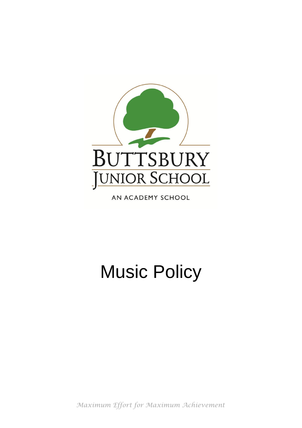

AN ACADEMY SCHOOL

# Music Policy

*Maximum Effort for Maximum Achievement*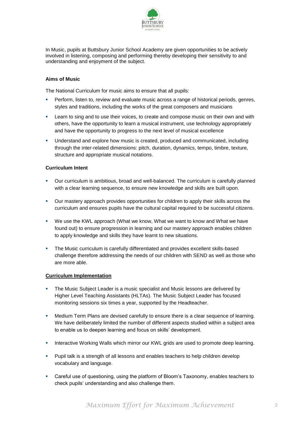

In Music, pupils at Buttsbury Junior School Academy are given opportunities to be actively involved in listening, composing and performing thereby developing their sensitivity to and understanding and enjoyment of the subject.

# **Aims of Music**

The National Curriculum for music aims to ensure that all pupils:

- **Perform, listen to, review and evaluate music across a range of historical periods, genres,** styles and traditions, including the works of the great composers and musicians
- **EXECT** Learn to sing and to use their voices, to create and compose music on their own and with others, have the opportunity to learn a musical instrument, use technology appropriately and have the opportunity to progress to the next level of musical excellence
- Understand and explore how music is created, produced and communicated, including through the inter-related dimensions: pitch, duration, dynamics, tempo, timbre, texture, structure and appropriate musical notations.

# **Curriculum Intent**

- Our curriculum is ambitious, broad and well-balanced. The curriculum is carefully planned with a clear learning sequence, to ensure new knowledge and skills are built upon.
- Our mastery approach provides opportunities for children to apply their skills across the curriculum and ensures pupils have the cultural capital required to be successful citizens.
- We use the KWL approach (What we know, What we want to know and What we have found out) to ensure progression in learning and our mastery approach enables children to apply knowledge and skills they have learnt to new situations.
- The Music curriculum is carefully differentiated and provides excellent skills-based challenge therefore addressing the needs of our children with SEND as well as those who are more able.

## **Curriculum Implementation**

- The Music Subject Leader is a music specialist and Music lessons are delivered by Higher Level Teaching Assistants (HLTAs). The Music Subject Leader has focused monitoring sessions six times a year, supported by the Headteacher.
- Medium Term Plans are devised carefully to ensure there is a clear sequence of learning. We have deliberately limited the number of different aspects studied within a subject area to enable us to deepen learning and focus on skills' development.
- **Interactive Working Walls which mirror our KWL grids are used to promote deep learning.**
- **Pupil talk is a strength of all lessons and enables teachers to help children develop** vocabulary and language.
- Careful use of questioning, using the platform of Bloom's Taxonomy, enables teachers to check pupils' understanding and also challenge them.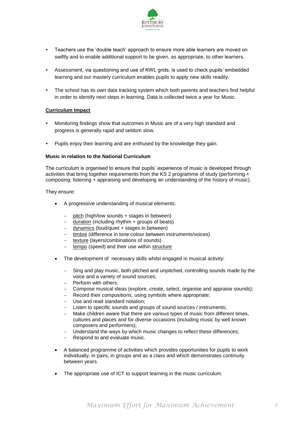

- Teachers use the 'double teach' approach to ensure more able learners are moved on swiftly and to enable additional support to be given, as appropriate, to other learners.
- Assessment, via questioning and use of KWL grids, is used to check pupils' embedded learning and our mastery curriculum enables pupils to apply new skills readily.
- The school has its own data tracking system which both parents and teachers find helpful in order to identify next steps in learning. Data is collected twice a year for Music.

## **Curriculum Impact**

- Monitoring findings show that outcomes in Music are of a very high standard and progress is generally rapid and seldom slow.
- Pupils enjoy their learning and are enthused by the knowledge they gain.

#### **Music in relation to the National Curriculum**

The curriculum is organised to ensure that pupils' experience of music is developed through activities that bring together requirements from the KS 2 programme of study (performing + composing; listening + appraising and developing an understanding of the history of music).

They ensure:

- A progressive understanding of musical elements:
	- pitch (high/low sounds + stages in between)
	- duration (including rhythm + groups of beats)
	- dynamics (loud/quiet + stages in between)
	- timbre (difference in tone colour between instruments/voices)
	- texture (layers/combinations of sounds)
	- $-$  tempo (speed) and their use within structure
- The development of necessary skills whilst engaged in musical activity:
	- Sing and play music, both pitched and unpitched, controlling sounds made by the voice and a variety of sound sources;
	- Perform with others;
	- Compose musical ideas (explore, create, select, organise and appraise sounds);
	- Record their compositions, using symbols where appropriate;
	- Use and read standard notation;
	- Listen to specific sounds and groups of sound sources / instruments;
	- Make children aware that there are various types of music from different times, cultures and places and for diverse occasions (including music by well known composers and performers);
	- Understand the ways by which music changes to reflect these differences;
	- Respond to and evaluate music.
- A balanced programme of activities which provides opportunities for pupils to work individually, in pairs, in groups and as a class and which demonstrates continuity between years.
- The appropriate use of ICT to support learning in the music curriculum.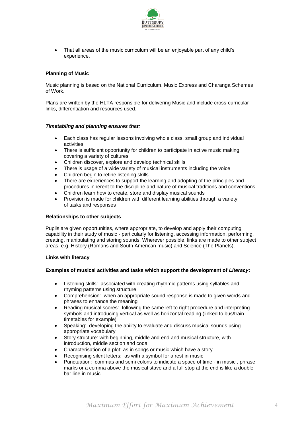

 That all areas of the music curriculum will be an enjoyable part of any child's experience.

## **Planning of Music**

Music planning is based on the National Curriculum, Music Express and Charanga Schemes of Work.

Plans are written by the HLTA responsible for delivering Music and include cross-curricular links, differentiation and resources used.

## *Timetabling and planning ensures that:*

- Each class has regular lessons involving whole class, small group and individual activities
- There is sufficient opportunity for children to participate in active music making, covering a variety of cultures
- Children discover, explore and develop technical skills
- There is usage of a wide variety of musical instruments including the voice
- Children begin to refine listening skills
- There are experiences to support the learning and adopting of the principles and procedures inherent to the discipline and nature of musical traditions and conventions
- Children learn how to create, store and display musical sounds
- Provision is made for children with different learning abilities through a variety of tasks and responses

### **Relationships to other subjects**

Pupils are given opportunities, where appropriate, to develop and apply their computing capability in their study of music - particularly for listening, accessing information, performing, creating, manipulating and storing sounds. Wherever possible, links are made to other subject areas, e.g. History (Romans and South American music) and Science (The Planets).

#### **Links with literacy**

### **Examples of musical activities and tasks which support the development of** *Literacy***:**

- Listening skills: associated with creating rhythmic patterns using syllables and rhyming patterns using structure
- Comprehension: when an appropriate sound response is made to given words and phrases to enhance the meaning
- Reading musical scores: following the same left to right procedure and interpreting symbols and introducing vertical as well as horizontal reading (linked to bus/train timetables for example)
- Speaking: developing the ability to evaluate and discuss musical sounds using appropriate vocabulary
- Story structure: with beginning, middle and end and musical structure, with introduction, middle section and coda
- Characterisation of a plot: as in songs or music which have a story
- Recognising silent letters: as with a symbol for a rest in music
- Punctuation: commas and semi colons to indicate a space of time in music , phrase marks or a comma above the musical stave and a full stop at the end is like a double bar line in music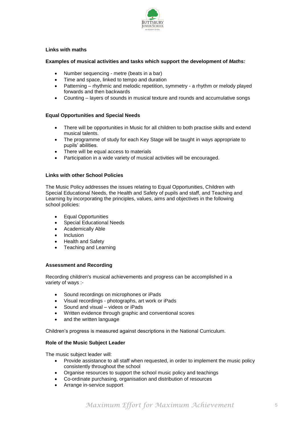

## **Links with maths**

## **Examples of musical activities and tasks which support the development of** *Maths:*

- Number sequencing metre (beats in a bar)
- Time and space, linked to tempo and duration
- Patterning rhythmic and melodic repetition, symmetry a rhythm or melody played forwards and then backwards
- Counting layers of sounds in musical texture and rounds and accumulative songs

## **Equal Opportunities and Special Needs**

- There will be opportunities in Music for all children to both practise skills and extend musical talents.
- The programme of study for each Key Stage will be taught in ways appropriate to pupils' abilities.
- There will be equal access to materials
- Participation in a wide variety of musical activities will be encouraged.

## **Links with other School Policies**

The Music Policy addresses the issues relating to Equal Opportunities, Children with Special Educational Needs, the Health and Safety of pupils and staff, and Teaching and Learning by incorporating the principles, values, aims and objectives in the following school policies:

- Equal Opportunities
- Special Educational Needs
- Academically Able
- Inclusion
- Health and Safety
- Teaching and Learning

#### **Assessment and Recording**

Recording children's musical achievements and progress can be accomplished in a variety of ways :-

- Sound recordings on microphones or iPads
- Visual recordings photographs, art work or iPads
- Sound and visual videos or iPads
- Written evidence through graphic and conventional scores
- and the written language

Children's progress is measured against descriptions in the National Curriculum.

## **Role of the Music Subject Leader**

The music subject leader will:

- Provide assistance to all staff when requested, in order to implement the music policy consistently throughout the school
- Organise resources to support the school music policy and teachings
- Co-ordinate purchasing, organisation and distribution of resources
- Arrange in-service support